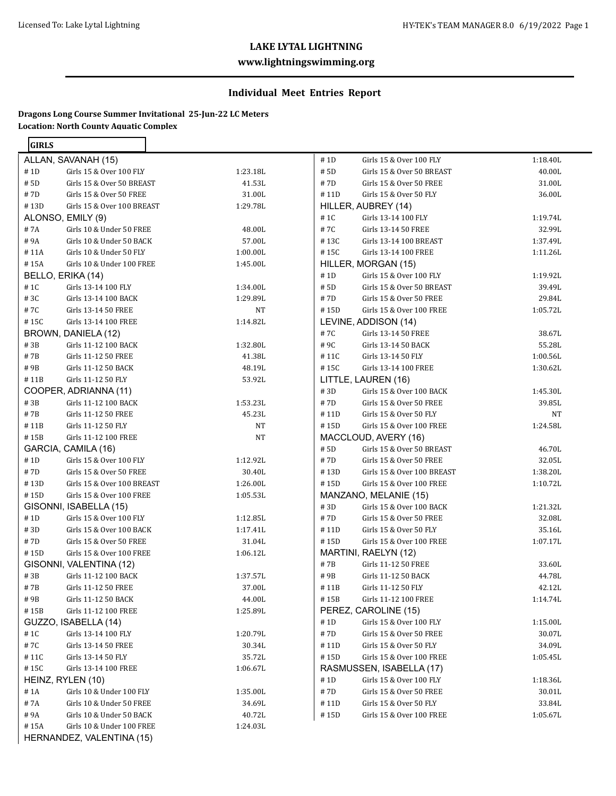#### **www.lightningswimming.org**

# **Individual Meet Entries Report**

## **Dragons Long Course Summer Invitational 25-Jun-22 LC Meters Location: North County Aquatic Complex**

| GIRLS        |                                                             |                      |
|--------------|-------------------------------------------------------------|----------------------|
|              | ALLAN, SAVANAH (15)                                         |                      |
| # 1D         | Girls 15 & Over 100 FLY                                     | 1:23.18L             |
| # 5D         | Girls 15 & Over 50 BREAST                                   | 41.53L               |
| # 7D         | Girls 15 & Over 50 FREE                                     | 31.00L               |
|              | #13D Girls 15 & Over 100 BREAST                             | 1:29.78L             |
|              | ALONSO, EMILY (9)                                           |                      |
| # 7A         | Girls 10 & Under 50 FREE                                    | 48.00L               |
| #9A          | Girls 10 & Under 50 BACK                                    | 57.00L               |
|              | #11A Girls 10 & Under 50 FLY                                | 1:00.00L             |
|              | #15A Girls 10 & Under 100 FREE                              | 1:45.00L             |
|              | BELLO, ERIKA (14)                                           |                      |
| # 1C         | Girls 13-14 100 FLY                                         | 1:34.00L             |
| #3C          | Girls 13-14 100 BACK                                        | 1:29.89L             |
| # 7C         | Girls 13-14 50 FREE                                         | NT                   |
| #15C         | Girls 13-14 100 FREE                                        | 1:14.82L             |
|              | BROWN, DANIELA (12)                                         |                      |
| #3B          | Girls 11-12 100 BACK                                        | 1:32.80L             |
| # 7B         | Girls 11-12 50 FREE                                         | 41.38L               |
|              | #9B Girls 11-12 50 BACK                                     | 48.19L               |
| #11B         | Girls 11-12 50 FLY                                          | 53.92L               |
|              | COOPER, ADRIANNA (11)                                       |                      |
| #3B          | Girls 11-12 100 BACK                                        | 1:53.23L             |
| # 7B         | Girls 11-12 50 FREE                                         | 45.23L               |
| #11B         | Girls 11-12 50 FLY                                          | NT                   |
| # 15B        | Girls 11-12 100 FREE                                        | NT                   |
|              | GARCIA, CAMILA (16)                                         |                      |
| #1D          | Girls 15 & Over 100 FLY                                     | 1:12.92L             |
| # 7D<br>#13D | Girls 15 & Over 50 FREE                                     | 30.40L               |
|              | Girls 15 & Over 100 BREAST<br>#15D Girls 15 & Over 100 FREE | 1:26.00L<br>1:05.53L |
|              | GISONNI, ISABELLA (15)                                      |                      |
| #1D          | Girls 15 & Over 100 FLY                                     | 1:12.85L             |
| #3D          | Girls 15 & Over 100 BACK                                    | 1:17.41L             |
| # 7D         | Girls 15 & Over 50 FREE                                     | 31.04L               |
| # 15D        | Girls 15 & Over 100 FREE                                    | 1:06.12L             |
|              | GISONNI, VALENTINA (12)                                     |                      |
| #3B          | Girls 11-12 100 BACK                                        | 1:37.57L             |
| # 7B         | Girls 11-12 50 FREE                                         | 37.00L               |
| # 9B         | Girls 11-12 50 BACK                                         | 44.00L               |
| # 15B        | Girls 11-12 100 FREE                                        | 1:25.89L             |
|              | GUZZO, ISABELLA (14)                                        |                      |
| #1C          | Girls 13-14 100 FLY                                         | 1:20.79L             |
| # 7C         | Girls 13-14 50 FREE                                         | 30.34L               |
| # 11C        | Girls 13-14 50 FLY                                          | 35.72L               |
| #15C         | Girls 13-14 100 FREE                                        | 1:06.67L             |
|              | HEINZ, RYLEN (10)                                           |                      |
| #1A          | Girls 10 & Under 100 FLY                                    | 1:35.00L             |
| #7A          | Girls 10 & Under 50 FREE                                    | 34.69L               |
| # 9A         | Girls 10 & Under 50 BACK                                    | 40.72L               |
| #15A         | Girls 10 & Under 100 FREE                                   | 1:24.03L             |
|              | HERNANDEZ, VALENTINA (15)                                   |                      |

| # 1D  | Girls 15 & Over 100 FLY                                    | 1:18.40L           |
|-------|------------------------------------------------------------|--------------------|
| # 5D  | Girls 15 & Over 50 BREAST                                  | 40.00L             |
| # 7D  | Girls 15 & Over 50 FREE                                    | 31.00L             |
| #11D  | Girls 15 & Over 50 FLY                                     | 36.00L             |
|       | HILLER, AUBREY (14)                                        |                    |
| # 1C  | Girls 13-14 100 FLY                                        | 1:19.74L           |
|       | #7C Girls 13-14 50 FREE                                    | 32.99L             |
|       | #13C Girls 13-14 100 BREAST                                | 1:37.49L           |
|       | #15C Girls 13-14 100 FREE                                  | 1:11.26L           |
|       | HILLER, MORGAN (15)                                        |                    |
| # 1D  | Girls 15 & Over 100 FLY                                    | 1:19.92L           |
| # 5D  | Girls 15 & Over 50 BREAST                                  | 39.49L             |
| # 7D  | Girls 15 & Over 50 FREE                                    | 29.84L             |
| #15D  | Girls 15 & Over 100 FREE                                   | 1:05.72L           |
|       | LEVINE, ADDISON (14)                                       |                    |
| #7C   | Girls 13-14 50 FREE                                        | 38.67L             |
|       | #9C Girls 13-14 50 BACK                                    | 55.28L             |
|       | #11C Girls 13-14 50 FLY                                    | 1:00.56L           |
| # 15C | Girls 13-14 100 FREE                                       | 1:30.62L           |
|       | LITTLE, LAUREN (16)                                        |                    |
| #3D   | Girls 15 & Over 100 BACK                                   | 1:45.30L           |
| #7D   | Girls 15 & Over 50 FREE                                    | 39.85L             |
| #11D  | Girls 15 & Over 50 FLY                                     | NT                 |
| # 15D | Girls 15 & Over 100 FREE                                   | 1:24.58L           |
|       | MACCLOUD, AVERY (16)                                       |                    |
| # 5D  | Girls 15 & Over 50 BREAST                                  | 46.70L             |
| # 7D  | Girls 15 & Over 50 FREE<br>#13D Girls 15 & Over 100 BREAST | 32.05L             |
|       |                                                            | 1:38.20L           |
| # 15D | Girls 15 & Over 100 FREE                                   | 1:10.72L           |
| #3D   | MANZANO, MELANIE (15)<br>Girls 15 & Over 100 BACK          |                    |
|       | #7D Girls 15 & Over 50 FREE                                | 1:21.32L<br>32.08L |
|       | #11D Girls 15 & Over 50 FLY                                | 35.16L             |
|       | #15D Girls 15 & Over 100 FREE                              | 1:07.17L           |
|       | MARTINI, RAELYN (12)                                       |                    |
| # 7B  | Girls 11-12 50 FREE                                        | 33.60L             |
| # 9B  | Girls 11-12 50 BACK                                        | 44.78L             |
| # 11B | Girls 11-12 50 FLY                                         | 42.12L             |
| #15B  | Girls 11-12 100 FREE                                       | 1:14.74L           |
|       | PEREZ, CAROLINE (15)                                       |                    |
| #1D   | Girls 15 & Over 100 FLY                                    | 1:15.00L           |
| #7D   | Girls 15 & Over 50 FREE                                    | 30.07L             |
| # 11D | Girls 15 & Over 50 FLY                                     | 34.09L             |
| #15D  | Girls 15 & Over 100 FREE                                   | 1:05.45L           |
|       | RASMUSSEN, ISABELLA (17)                                   |                    |
| # 1D  | Girls 15 & Over 100 FLY                                    | 1:18.36L           |
| #7D   | Girls 15 & Over 50 FREE                                    | 30.01L             |
| # 11D | Girls 15 & Over 50 FLY                                     | 33.84L             |
| #15D  | Girls 15 & Over 100 FREE                                   | 1:05.67L           |
|       |                                                            |                    |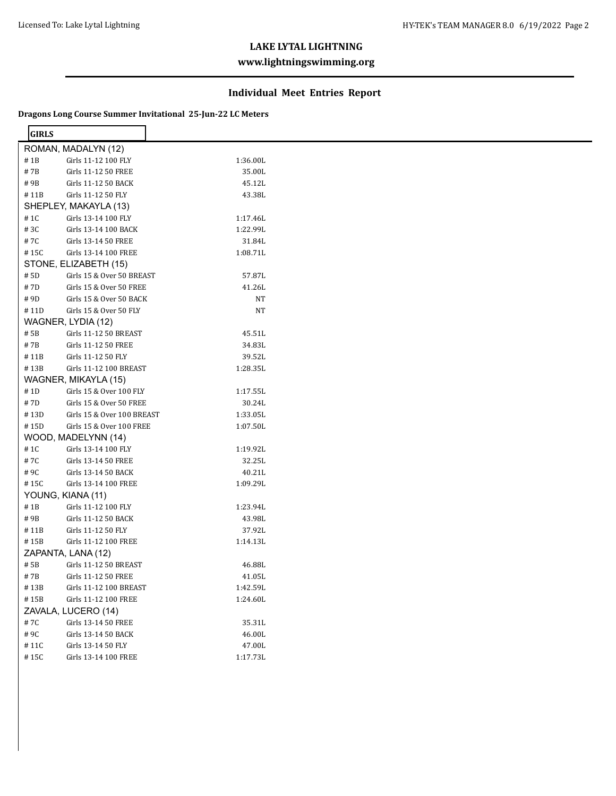## **www.lightningswimming.org**

#### **Individual Meet Entries Report**

#### **Dragons Long Course Summer Invitational 25-Jun-22 LC Meters**

| <b>GIRLS</b> |                            |          |  |
|--------------|----------------------------|----------|--|
|              | ROMAN, MADALYN (12)        |          |  |
| #1B          | Girls 11-12 100 FLY        | 1:36.00L |  |
| #7B          | Girls 11-12 50 FREE        | 35.00L   |  |
| #9B          | Girls 11-12 50 BACK        | 45.12L   |  |
| #11B         | Girls 11-12 50 FLY         | 43.38L   |  |
|              | SHEPLEY, MAKAYLA (13)      |          |  |
| # 1C         | Girls 13-14 100 FLY        | 1:17.46L |  |
| #3C          | Girls 13-14 100 BACK       | 1:22.99L |  |
| #7C          | Girls 13-14 50 FREE        | 31.84L   |  |
| #15C         | Girls 13-14 100 FREE       | 1:08.71L |  |
|              | STONE, ELIZABETH (15)      |          |  |
| # 5D         | Girls 15 & Over 50 BREAST  | 57.87L   |  |
|              |                            |          |  |
| #7D          | Girls 15 & Over 50 FREE    | 41.26L   |  |
| #9D          | Girls 15 & Over 50 BACK    | NT       |  |
| #11D         | Girls 15 & Over 50 FLY     | NT       |  |
|              | WAGNER, LYDIA (12)         |          |  |
| # 5B         | Girls 11-12 50 BREAST      | 45.51L   |  |
| #7B          | Girls 11-12 50 FREE        | 34.83L   |  |
| #11B         | Girls 11-12 50 FLY         | 39.52L   |  |
| #13B         | Girls 11-12 100 BREAST     | 1:28.35L |  |
|              | WAGNER, MIKAYLA (15)       |          |  |
| #1D          | Girls 15 & Over 100 FLY    | 1:17.55L |  |
| #7D          | Girls 15 & Over 50 FREE    | 30.24L   |  |
| #13D         | Girls 15 & Over 100 BREAST | 1:33.05L |  |
| #15D         | Girls 15 & Over 100 FREE   | 1:07.50L |  |
|              | WOOD, MADELYNN (14)        |          |  |
| #1C          | Girls 13-14 100 FLY        | 1:19.92L |  |
| #7C          | Girls 13-14 50 FREE        | 32.25L   |  |
| #9C          | Girls 13-14 50 BACK        | 40.21L   |  |
| #15C         | Girls 13-14 100 FREE       | 1:09.29L |  |
|              | YOUNG, KIANA (11)          |          |  |
| $\#$ 1B      | Girls 11-12 100 FLY        | 1:23.94L |  |
| #9B          | Girls 11-12 50 BACK        | 43.98L   |  |
| #11B         | Girls 11-12 50 FLY         | 37.92L   |  |
| #15B         | Girls 11-12 100 FREE       | 1:14.13L |  |
|              | ZAPANTA, LANA (12)         |          |  |
| # 5B         | Girls 11-12 50 BREAST      | 46.88L   |  |
| #7B          | Girls 11-12 50 FREE        | 41.05L   |  |
| #13B         | Girls 11-12 100 BREAST     | 1:42.59L |  |
| #15B         | Girls 11-12 100 FREE       | 1:24.60L |  |
|              | ZAVALA, LUCERO (14)        |          |  |
| #7C          | Girls 13-14 50 FREE        | 35.31L   |  |
| #9C          | Girls 13-14 50 BACK        | 46.00L   |  |
| #11C         | Girls 13-14 50 FLY         | 47.00L   |  |
| $\#$ 15C     | Girls 13-14 100 FREE       | 1:17.73L |  |
|              |                            |          |  |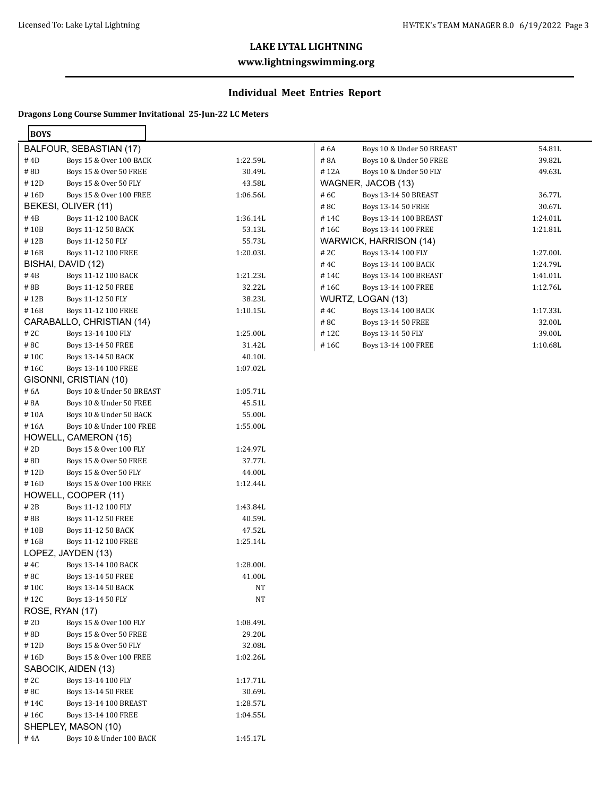## **www.lightningswimming.org**

# **Individual Meet Entries Report**

#### **Dragons Long Course Summer Invitational 25-Jun-22 LC Meters**

| <b>BOYS</b> |                              |          |
|-------------|------------------------------|----------|
|             | BALFOUR, SEBASTIAN (17)      |          |
| # 4D        | Boys 15 & Over 100 BACK      | 1:22.59L |
| # 8D        | Boys 15 & Over 50 FREE       | 30.49L   |
| #12D        | Boys 15 & Over 50 FLY        | 43.58L   |
| #16D        | Boys 15 & Over 100 FREE      | 1:06.56L |
|             | BEKESI, OLIVER (11)          |          |
| # 4B        | Boys 11-12 100 BACK          | 1:36.14L |
| #10B        | Boys 11-12 50 BACK           | 53.13L   |
| # 12B       | Boys 11-12 50 FLY            | 55.73L   |
| #16B        | Boys 11-12 100 FREE          | 1:20.03L |
|             | BISHAI, DAVID (12)           |          |
| #4B         | Boys 11-12 100 BACK          | 1:21.23L |
| #8B         | Boys 11-12 50 FREE           | 32.22L   |
| # 12B       | Boys 11-12 50 FLY            | 38.23L   |
| #16B        | Boys 11-12 100 FREE          | 1:10.15L |
|             | CARABALLO, CHRISTIAN (14)    |          |
| # 2C        | Boys 13-14 100 FLY           | 1:25.00L |
| #8C         | Boys 13-14 50 FREE           | 31.42L   |
| #10C        | Boys 13-14 50 BACK           | 40.10L   |
| # 16C       | Boys 13-14 100 FREE          | 1:07.02L |
|             | GISONNI, CRISTIAN (10)       |          |
| # 6A        | Boys 10 & Under 50 BREAST    | 1:05.71L |
| # 8A        | Boys 10 & Under 50 FREE      | 45.51L   |
| #10A        | Boys 10 & Under 50 BACK      | 55.00L   |
| #16A        | Boys 10 & Under 100 FREE     | 1:55.00L |
|             | HOWELL, CAMERON (15)         |          |
| # 2D        | Boys 15 & Over 100 FLY       | 1:24.97L |
| # 8D        | Boys 15 & Over 50 FREE       | 37.77L   |
| #12D        | Boys 15 & Over 50 FLY        | 44.00L   |
| #16D        | Boys 15 & Over 100 FREE      | 1:12.44L |
|             | HOWELL, COOPER (11)          |          |
| # 2B        | Boys 11-12 100 FLY           | 1:43.84L |
| # 8B        | Boys 11-12 50 FREE           | 40.59L   |
| # 10B       | <b>Boys 11-12 50 BACK</b>    | 47.52L   |
| #16B        | Boys 11-12 100 FREE          | 1:25.14L |
|             | LOPEZ, JAYDEN (13)           |          |
| # 4C        | Boys 13-14 100 BACK          | 1:28.00L |
| #8C         | Boys 13-14 50 FREE           | 41.00L   |
| # 10C       | Boys 13-14 50 BACK           | NT       |
| #12C        | Boys 13-14 50 FLY            | NT       |
|             | ROSE, RYAN (17)              |          |
| # 2D        | Boys 15 & Over 100 FLY       | 1:08.49L |
| #8D         | Boys 15 & Over 50 FREE       | 29.20L   |
| #12D        | Boys 15 & Over 50 FLY        | 32.08L   |
| #16D        | Boys 15 & Over 100 FREE      | 1:02.26L |
|             | SABOCIK, AIDEN (13)          |          |
| # 2C        | Boys 13-14 100 FLY           | 1:17.71L |
| #8C         | Boys 13-14 50 FREE           | 30.69L   |
| #14C        | <b>Boys 13-14 100 BREAST</b> | 1:28.57L |
| # 16C       | Boys 13-14 100 FREE          | 1:04.55L |
|             | SHEPLEY, MASON (10)          |          |
| #4A         | Boys 10 & Under 100 BACK     | 1:45.17L |

| Boys 10 & Under 50 FREE<br>39.82L<br># 8A<br>#12A<br>Boys 10 & Under 50 FLY<br>49.63L<br>WAGNER, JACOB (13)<br># 6C<br><b>Boys 13-14 50 BREAST</b><br>36.77L<br>#8C<br>Boys 13-14 50 FREE<br>30.67L<br><b>Boys 13-14 100 BREAST</b><br>#14C<br>1:24.01L<br>1:21.81L<br>#16C<br>Boys 13-14 100 FREE |
|----------------------------------------------------------------------------------------------------------------------------------------------------------------------------------------------------------------------------------------------------------------------------------------------------|
|                                                                                                                                                                                                                                                                                                    |
|                                                                                                                                                                                                                                                                                                    |
|                                                                                                                                                                                                                                                                                                    |
|                                                                                                                                                                                                                                                                                                    |
|                                                                                                                                                                                                                                                                                                    |
|                                                                                                                                                                                                                                                                                                    |
|                                                                                                                                                                                                                                                                                                    |
| WARWICK, HARRISON (14)                                                                                                                                                                                                                                                                             |
| #2C<br>Boys 13-14 100 FLY<br>1:27.00L                                                                                                                                                                                                                                                              |
| 1:24.79L<br># 4C<br>Boys 13-14 100 BACK                                                                                                                                                                                                                                                            |
| 1:41.01L<br>#14C<br><b>Boys 13-14 100 BREAST</b>                                                                                                                                                                                                                                                   |
| 1:12.76L<br>#16C<br>Boys 13-14 100 FREE                                                                                                                                                                                                                                                            |
| WURTZ, LOGAN (13)                                                                                                                                                                                                                                                                                  |
| #4C<br>Boys 13-14 100 BACK<br>1:17.33L                                                                                                                                                                                                                                                             |
| Boys 13-14 50 FREE<br>32.00L<br>#8C                                                                                                                                                                                                                                                                |
| #12C<br>Boys 13-14 50 FLY<br>39.00L                                                                                                                                                                                                                                                                |
| #16C<br><b>Boys 13-14 100 FREE</b><br>1:10.68L                                                                                                                                                                                                                                                     |